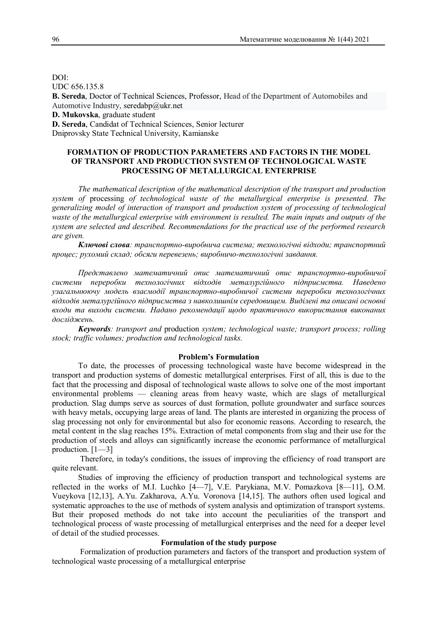DOI: UDC 656.135.8 **B. Sereda**, Doctor of Technical Sciences, Professor, Head of the Department of Automobiles and Automotive Industry, seredabp@ukr.net **D. Mukovska**, graduate student

**D. Sereda**, Candidat of Technical Sciences, Senior lecturer Dniprovsky State Technical University, Kamianske

# **FORMATION OF PRODUCTION PARAMETERS AND FACTORS IN THE MODEL OF TRANSPORT AND PRODUCTION SYSTEM OF TECHNOLOGICAL WASTE PROCESSING OF METALLURGICAL ENTERPRISE**

*The mathematical description of the mathematical description of the transport and production system of* processing *of technological waste of the metallurgical enterprise is presented. The generalizing model of interaction of transport and production system of processing of technological waste of the metallurgical enterprise with environment is resulted. The main inputs and outputs of the system are selected and described. Recommendations for the practical use of the performed research are given.*

*Ключові слова: транспортно-виробнича система; технологічні відходи; транспортний процес; рухомий склад; обсяги перевезень; виробничо-технологічні завдання.*

*Представлено математичний опис математичний опис транспортно-виробничої системи переробки технологічних відходів металургійного підприємства. Наведено узагальнюючу модель взаємодії транспортно-виробничої системи переробки технологічних відходів металургійного підприємства з навколишнім середовищем. Виділені та описані основні входи та виходи системи. Надано рекомендації щодо практичного використання виконаних досліджень.*

*Keywords: transport and* production *system; technological waste; transport process; rolling stock; traffic volumes; production and technological tasks.*

#### **Problem's Formulation**

To date, the processes of processing technological waste have become widespread in the transport and production systems of domestic metallurgical enterprises. First of all, this is due to the fact that the processing and disposal of technological waste allows to solve one of the most important environmental problems — cleaning areas from heavy waste, which are slags of metallurgical production. Slag dumps serve as sources of dust formation, pollute groundwater and surface sources with heavy metals, occupying large areas of land. The plants are interested in organizing the process of slag processing not only for environmental but also for economic reasons. According to research, the metal content in the slag reaches 15%. Extraction of metal components from slag and their use for the production of steels and alloys can significantly increase the economic performance of metallurgical production. [1—3]

 Therefore, in today's conditions, the issues of improving the efficiency of road transport are quite relevant.

Studies of improving the efficiency of production transport and technological systems are reflected in the works of M.I. Luchko [4—7], V.E. Parykiana, M.V. Pomazkova [8—11], О.М. Vueykova [12,13], A.Yu. Zakharova, A.Yu. Voronova [14,15]. The authors often used logical and systematic approaches to the use of methods of system analysis and optimization of transport systems. But their proposed methods do not take into account the peculiarities of the transport and technological process of waste processing of metallurgical enterprises and the need for a deeper level of detail of the studied processes.

### **Formulation of the study purpose**

Formalization of production parameters and factors of the transport and production system of technological waste processing of a metallurgical enterprise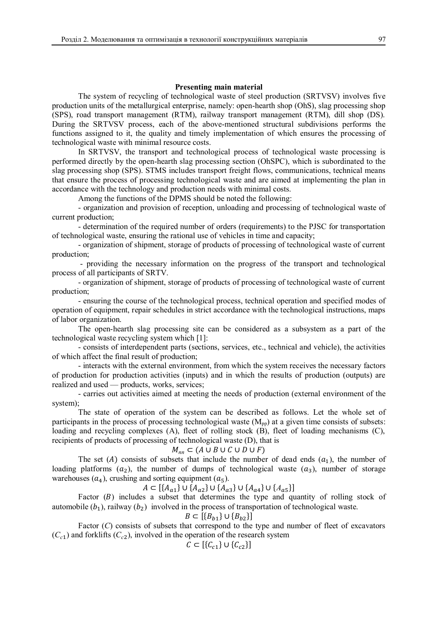### **Presenting main material**

The system of recycling of technological waste of steel production (SRTVSV) involves five production units of the metallurgical enterprise, namely: open-hearth shop (OhS), slag processing shop (SPS), road transport management (RTM), railway transport management (RTM), dill shop (DS). During the SRTVSV process, each of the above-mentioned structural subdivisions performs the functions assigned to it, the quality and timely implementation of which ensures the processing of technological waste with minimal resource costs.

In SRTVSV, the transport and technological process of technological waste processing is performed directly by the open-hearth slag processing section (OhSPC), which is subordinated to the slag processing shop (SPS). STMS includes transport freight flows, communications, technical means that ensure the process of processing technological waste and are aimed at implementing the plan in accordance with the technology and production needs with minimal costs.

Among the functions of the DPMS should be noted the following:

- organization and provision of reception, unloading and processing of technological waste of current production;

- determination of the required number of orders (requirements) to the PJSC for transportation of technological waste, ensuring the rational use of vehicles in time and capacity;

- organization of shipment, storage of products of processing of technological waste of current production;

 - providing the necessary information on the progress of the transport and technological process of all participants of SRTV.

- organization of shipment, storage of products of processing of technological waste of current production;

- ensuring the course of the technological process, technical operation and specified modes of operation of equipment, repair schedules in strict accordance with the technological instructions, maps of labor organization.

The open-hearth slag processing site can be considered as a subsystem as a part of the technological waste recycling system which [1]:

- consists of interdependent parts (sections, services, etc., technical and vehicle), the activities of which affect the final result of production;

- interacts with the external environment, from which the system receives the necessary factors of production for production activities (inputs) and in which the results of production (outputs) are realized and used — products, works, services;

- carries out activities aimed at meeting the needs of production (external environment of the system);

The state of operation of the system can be described as follows. Let the whole set of participants in the process of processing technological waste  $(M_{\text{op}})$  at a given time consists of subsets: loading and recycling complexes (A), fleet of rolling stock (B), fleet of loading mechanisms (C), recipients of products of processing of technological waste (D), that is

#### $M_{nn}$  ⊂ ( $A \cup B \cup C \cup D \cup F$ )

The set ( $A$ ) consists of subsets that include the number of dead ends  $(a_1)$ , the number of loading platforms  $(a_2)$ , the number of dumps of technological waste  $(a_3)$ , number of storage warehouses  $(a_4)$ , crushing and sorting equipment  $(a_5)$ .

 $A \subset \left[ \{ A_{a1} \} \cup \{ A_{a2} \} \cup \{ A_{a3} \} \cup \{ A_{a4} \} \cup \{ A_{a5} \} \right]$ 

Factor  $(B)$  includes a subset that determines the type and quantity of rolling stock of automobile  $(b_1)$ , railway  $(b_2)$  involved in the process of transportation of technological waste.

$$
B \subset \left[ \{B_{b1}\} \cup \{B_{b2}\} \right]
$$

Factor (*C*) consists of subsets that correspond to the type and number of fleet of excavators  $(C_{c1})$  and forklifts  $(C_{c2})$ , involved in the operation of the research system

$$
C \subset [\{C_{c1}\} \cup \{C_{c2}\}]
$$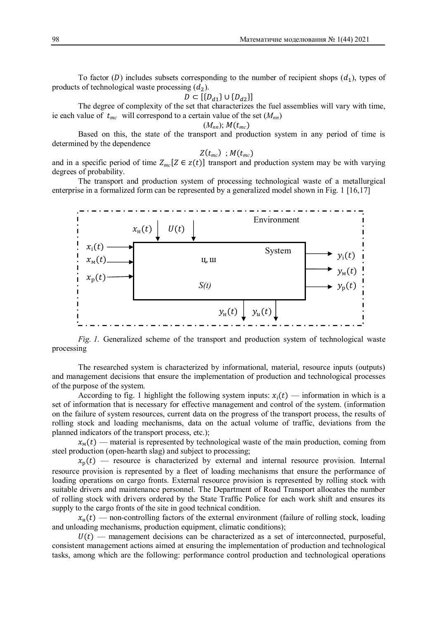To factor (D) includes subsets corresponding to the number of recipient shops  $(d_1)$ , types of products of technological waste processing  $(d_2)$ .

$$
D \subset \left[ \{ D_{d1} \} \cup \{ D_{d2} \} \right]
$$

The degree of complexity of the set that characterizes the fuel assemblies will vary with time, ie each value of  $t_{mc}$  will correspond to a certain value of the set  $(M_{nn})$ 

$$
(M_{nn}); M(t_{mc})
$$

Based on this, the state of the transport and production system in any period of time is determined by the dependence

$$
Z(t_{mc})\ ; M(t_{mc})
$$

and in a specific period of time  $Z_{mc}[Z \in z(t)]$  transport and production system may be with varying degrees of probability.

The transport and production system of processing technological waste of a metallurgical enterprise in a formalized form can be represented by a generalized model shown in Fig. 1 [16,17]



*Fig. 1.* Generalized scheme of the transport and production system of technological waste processing

The researched system is characterized by informational, material, resource inputs (outputs) and management decisions that ensure the implementation of production and technological processes of the purpose of the system.

According to fig. 1 highlight the following system inputs:  $x_i(t)$  — information in which is a set of information that is necessary for effective management and control of the system. (information on the failure of system resources, current data on the progress of the transport process, the results of rolling stock and loading mechanisms, data on the actual volume of traffic, deviations from the planned indicators of the transport process, etc.);

 $x<sub>w</sub>(t)$  — material is represented by technological waste of the main production, coming from steel production (open-hearth slag) and subject to processing;

 $x_n(t)$  — resource is characterized by external and internal resource provision. Internal resource provision is represented by a fleet of loading mechanisms that ensure the performance of loading operations on cargo fronts. External resource provision is represented by rolling stock with suitable drivers and maintenance personnel. The Department of Road Transport allocates the number of rolling stock with drivers ordered by the State Traffic Police for each work shift and ensures its supply to the cargo fronts of the site in good technical condition.

 $x_{\text{H}}(t)$  — non-controlling factors of the external environment (failure of rolling stock, loading and unloading mechanisms, production equipment, climatic conditions);

 $U(t)$  — management decisions can be characterized as a set of interconnected, purposeful, consistent management actions aimed at ensuring the implementation of production and technological tasks, among which are the following: performance control production and technological operations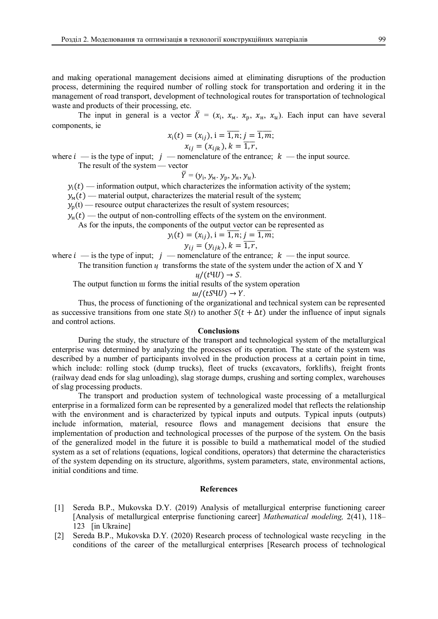and making operational management decisions aimed at eliminating disruptions of the production process, determining the required number of rolling stock for transportation and ordering it in the management of road transport, development of technological routes for transportation of technological waste and products of their processing, etc.

The input in general is a vector  $\bar{X} = (x_i, x_m, x_p, x_n, x_u)$ . Each input can have several components, ie

$$
x_i(t) = (x_{ij}), i = \overline{1, n}; j = \overline{1, m};x_{ij} = (x_{ijk}), k = \overline{1, r},
$$

where  $i - i$  is the type of input;  $j -$  nomenclature of the entrance;  $k -$  the input source. The result of the system — vector

$$
\overline{Y}=(y_{\mathrm{i}},\,y_{\mathrm{M}},\,y_{\mathrm{p}},\,y_{\mathrm{H}},\,y_{\mathrm{U}}).
$$

 $y_i(t)$  — information output, which characterizes the information activity of the system;

 $y_{\rm M}(t)$  — material output, characterizes the material result of the system;

 $y_p(t)$  — resource output characterizes the result of system resources;

 $y_{\text{H}}(t)$  — the output of non-controlling effects of the system on the environment.

As for the inputs, the components of the output vector can be represented as

$$
y_i(t) = (x_{ij}), i = \overline{1, n}; j = \overline{1, m};
$$

$$
y_{ij}=(y_{ijk}), k=\overline{1,r},
$$

where  $i$  — is the type of input;  $j$  — nomenclature of the entrance;  $k$  — the input source.

The transition function  $\mu$  transforms the state of the system under the action of X and Y

$$
u/(t\Psi U)\to S.
$$

The output function ш forms the initial results of the system operation

$$
u/(tSW) \rightarrow Y.
$$

Thus, the process of functioning of the organizational and technical system can be represented as successive transitions from one state  $S(t)$  to another  $S(t + \Delta t)$  under the influence of input signals and control actions.

### **Conclusions**

During the study, the structure of the transport and technological system of the metallurgical enterprise was determined by analyzing the processes of its operation. The state of the system was described by a number of participants involved in the production process at a certain point in time, which include: rolling stock (dump trucks), fleet of trucks (excavators, forklifts), freight fronts (railway dead ends for slag unloading), slag storage dumps, crushing and sorting complex, warehouses of slag processing products.

The transport and production system of technological waste processing of a metallurgical enterprise in a formalized form can be represented by a generalized model that reflects the relationship with the environment and is characterized by typical inputs and outputs. Typical inputs (outputs) include information, material, resource flows and management decisions that ensure the implementation of production and technological processes of the purpose of the system. On the basis of the generalized model in the future it is possible to build a mathematical model of the studied system as a set of relations (equations, logical conditions, operators) that determine the characteristics of the system depending on its structure, algorithms, system parameters, state, environmental actions, initial conditions and time.

#### **References**

- [1] Sereda B.P., Mukovska D.Y. (2019) Analysis of metallurgical enterprise functioning career [Analysis of metallurgical enterprise functioning career] *Mathematical modeling,* 2(41), 118– 123 [in Ukraine]
- [2] Sereda B.P., Mukovska D.Y. (2020) Research process of technological waste recycling in the conditions of the career of the metallurgical enterprises [Research process of technological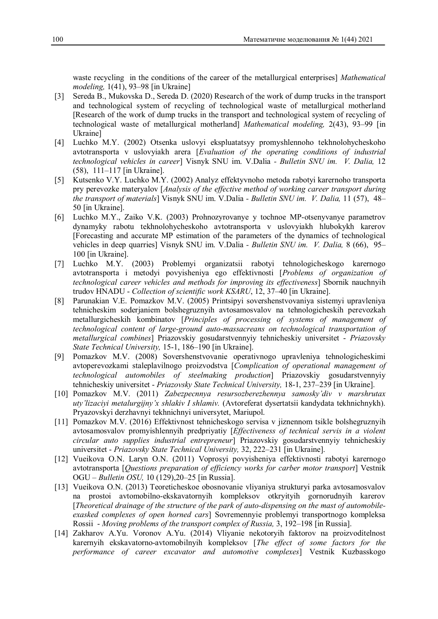waste recycling in the conditions of the career of the metallurgical enterprises] *Mathematical modeling,* 1(41), 93–98 [in Ukraine]

- [3] Sereda B., Mukovska D., Sereda D. (2020) Research of the work of dump trucks in the transport and technological system of recycling of technological waste of metallurgical motherland [Research of the work of dump trucks in the transport and technological system of recycling of technological waste of metallurgical motherland] *Mathematical modeling,* 2(43), 93–99 [in Ukraine]
- [4] Luchko M.Y. (2002) Otsenka uslovyi ekspluatatsyy promyshlennoho tekhnolohycheskoho avtotransporta v uslovyiakh arera [*Evaluation of the operating conditions of industrial technological vehicles in career*] Visnyk SNU im. V.Dalia *- Bulletin SNU іm. V. Dalia,* 12 (58), 111–117 [in Ukraine].
- [5] Kutsenko V.Y. Luchko M.Y. (2002) Analyz effektyvnoho metoda rabotyi karernoho transporta pry perevozke materyalov [*Analysis of the effective method of working career transport during the transport of materials*] Visnyk SNU im. V.Dalia *- Bulletin SNU іm. V. Dalia,* 11 (57), 48– 50 [in Ukraine].
- [6] Luchko M.Y., Zaiko V.K. (2003) Prohnozyrovanye y tochnoe MP-otsenyvanye parametrov dynamyky rabotu tekhnolohycheskoho avtotransporta v uslovyiakh hlubokykh karerov [Forecasting and accurate MP estimation of the parameters of the dynamics of technological vehicles in deep quarries] Visnyk SNU im. V.Dalia *- Bulletin SNU іm. V. Dalia,* 8 (66), 95– 100 [in Ukraine].
- [7] Luchko M.Y. (2003) Problemyi organizatsii rabotyi tehnologicheskogo karernogo avtotransporta i metodyi povyisheniya ego effektivnosti [*Problems of organization of technological career vehicles and methods for improving its effectiveness*] Sbornik nauchnyih trudov HNADU - *Collection of scientific work KSARU*, 12, 37–40 [in Ukraine].
- [8] Parunakian V.E. Pomazkov M.V. (2005) Printsipyi sovershenstvovaniya sistemyi upravleniya tehnicheskim soderjaniem bolshegruznyih avtosamosvalov na tehnologicheskih perevozkah metallurgicheskih kombinatov [*Principles of processing of systems of management of technological content of large-ground auto-massacreans on technological transportation of metallurgical combines*] Priazovskiy gosudarstvennyiy tehnicheskiy universitet - *Priazovsky State Technical University,* 15-1, 186–190 [in Ukraine].
- [9] Pomazkov M.V. (2008) Sovershenstvovanie operativnogo upravleniya tehnologicheskimi avtoperevozkami staleplavilnogo proizvodstva [*Complication of operational management of technological automobiles of steelmaking production*] Priazovskiy gosudarstvennyiy tehnicheskiy universitet - *Priazovsky State Technical University,* 18-1, 237–239 [in Ukraine].
- [10] Pomazkov M.V. (2011) *Zabezpecnnya resursozberezhennya samosky'div v marshrutax uty'lizaciyi metalurgijny'x shlakiv I shlamiv.* (Avtoreferat dysertatsii kandydata tekhnichnykh). Pryazovskyi derzhavnyi tekhnichnyi universytet, Mariupol.
- [11] Pomazkov M.V. (2016) Effektivnost tehnicheskogo servisa v jiznennom tsikle bolshegruznyih avtosamosvalov promyishlennyih predpriyatiy [*Effectiveness of technical servis in a violent circular auto supplies industrial entrepreneur*] Priazovskiy gosudarstvennyiy tehnicheskiy universitet - *Priazovsky State Technical University,* 32, 222–231 [in Ukraine].
- [12] Vueikova O.N. Laryn O.N. (2011) Voprosyi povyisheniya effektivnosti rabotyi karernogo avtotransporta [*Questions preparation of efficiency works for carber motor transport*] Vestnik OGU – *Bulletin OSU,* 10 (129),20–25 [in Russia].
- [13] Vueikova O.N. (2013) Teoreticheskoe obosnovanie vliyaniya strukturyi parka avtosamosvalov na prostoi avtomobilno-ekskavatornyih kompleksov otkryityih gornorudnyih karerov [*Theoretical drainage of the structure of the park of auto-dispensing on the mast of automobileexasked complexes of open horned cars*] Sovremennyie problemyi transportnogo kompleksa Rossii - *Moving problems of the transport complex of Russia,* 3, 192–198 [in Russia].
- [14] Zakharov A.Yu. Voronov A.Yu. (2014) Vliyanie nekotoryih faktorov na proizvoditelnost karernyih ekskavatorno-avtomobilnyih kompleksov [*The effect of some factors for the performance of career excavator and automotive complexes*] Vestnik Kuzbasskogo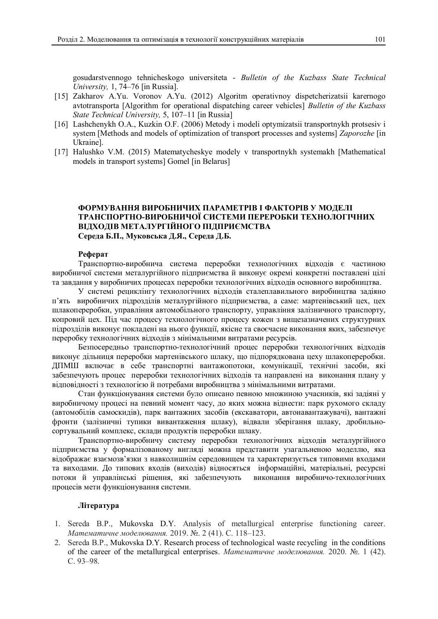gosudarstvennogo tehnicheskogo universiteta - *Bulletin of the Kuzbass State Technical University,* 1, 74–76 [in Russia].

- [15] Zakharov A.Yu. Voronov A.Yu. (2012) Algoritm operativnoy dispetcherizatsii karernogo avtotransporta [Algorithm for operational dispatching career vehicles] *Bulletin of the Kuzbass State Technical University,* 5, 107–11 [in Russia]
- [16] Lashchenykh O.A., Kuzkin O.F. (2006) Metody i modeli optymizatsii transportnykh protsesiv i system [Methods and models of optimization of transport processes and systems] *Zaporozhe* [in Ukraine].
- [17] Halushko V.M. (2015) Matematycheskye modely v transportnykh systemakh [Mathematical models in transport systems] Gomel [in Belarus]

## **ФОРМУВАННЯ ВИРОБНИЧИХ ПАРАМЕТРІВ І ФАКТОРІВ У МОДЕЛІ ТРАНСПОРТНО-ВИРОБНИЧОЇ СИСТЕМИ ПЕРЕРОБКИ ТЕХНОЛОГІЧНИХ ВІДХОДІВ МЕТАЛУРГІЙНОГО ПІДПРИЄМСТВА Середа Б.П., Муковська Д.Я., Середа Д.Б.**

### **Реферат**

Транспортно-виробнича система переробки технологічних відходів є частиною виробничої системи металургійного підприємства й виконує окремі конкретні поставлені цілі та завдання у виробничих процесах переробки технологічних відходів основного виробництва.

У системі рециклінгу технологічних відходів сталеплавильного виробництва задіяно п'ять виробничих підрозділів металургійного підприємства, а саме: мартенівський цех, цех шлакопереробки, управління автомобільного транспорту, управління залізничного транспорту, копровий цех. Під час процесу технологічного процесу кожен з вищезазначених структурних підрозділів виконує покладені на нього функції, якісне та своєчасне виконання яких, забезпечує переробку технологічних відходів з мінімальними витратами ресурсів.

Безпосередньо транспортно-технологічний процес переробки технологічних відходів виконує дільниця переробки мартенівського шлаку, що підпорядкована цеху шлакопереробки. ДПМШ включає в себе транспортні вантажопотоки, комунікації, технічні засоби, які забезпечують процес переробки технологічних відходів та направлені на виконання плану у відповідності з технологією й потребами виробництва з мінімальними витратами.

Стан функціонування системи було описано певною множиною учасників, які задіяні у виробничому процесі на певний момент часу, до яких можна віднести: парк рухомого складу (автомобілів самоскидів), парк вантажних засобів (екскаватори, автонавантажувачі), вантажні фронти (залізничні тупики вивантаження шлаку), відвали зберігання шлаку, дробильносортувальний комплекс, склади продуктів переробки шлаку.

Транспортно-виробничу систему переробки технологічних відходів металургійного підприємства у формалізованому вигляді можна представити узагальненою моделлю, яка відображає взаємозв'язки з навколишнім середовищем та характеризується типовими входами та виходами. До типових входів (виходів) відносяться інформаційні, матеріальні, ресурсні потоки й управлінські рішення, які забезпечують виконання виробничо-технологічних процесів мети функціонування системи.

### **Література**

- 1. Sereda B.P., Mukovska D.Y. Analysis of metallurgical enterprise functioning career. *Математичне моделювання.* 2019. №. 2 (41). С. 118–123.
- 2. Sereda B.P., Mukovska D.Y. Research process of technological waste recycling in the conditions of the career of the metallurgical enterprises. *Математичне моделювання.* 2020. №. 1 (42). С. 93–98.